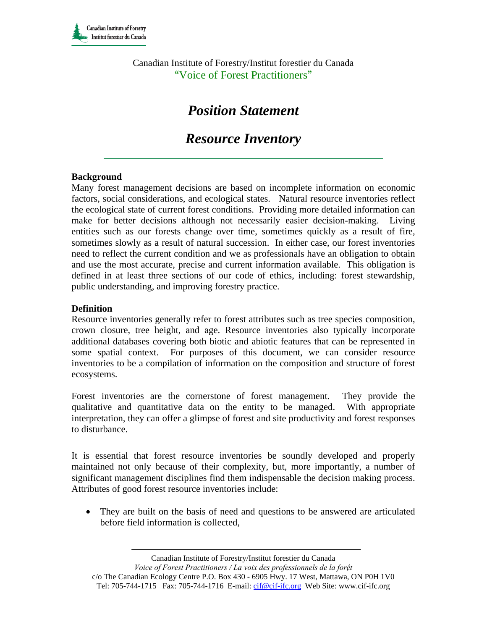Canadian Institute of Forestry/Institut forestier du Canada "Voice of Forest Practitioners"

# *Position Statement*

# *Resource Inventory*

# **Background**

Many forest management decisions are based on incomplete information on economic factors, social considerations, and ecological states. Natural resource inventories reflect the ecological state of current forest conditions. Providing more detailed information can make for better decisions although not necessarily easier decision-making. Living entities such as our forests change over time, sometimes quickly as a result of fire, sometimes slowly as a result of natural succession. In either case, our forest inventories need to reflect the current condition and we as professionals have an obligation to obtain and use the most accurate, precise and current information available. This obligation is defined in at least three sections of our code of ethics, including: forest stewardship, public understanding, and improving forestry practice.

# **Definition**

Resource inventories generally refer to forest attributes such as tree species composition, crown closure, tree height, and age. Resource inventories also typically incorporate additional databases covering both biotic and abiotic features that can be represented in some spatial context. For purposes of this document, we can consider resource inventories to be a compilation of information on the composition and structure of forest ecosystems.

Forest inventories are the cornerstone of forest management. They provide the qualitative and quantitative data on the entity to be managed. With appropriate interpretation, they can offer a glimpse of forest and site productivity and forest responses to disturbance.

It is essential that forest resource inventories be soundly developed and properly maintained not only because of their complexity, but, more importantly, a number of significant management disciplines find them indispensable the decision making process. Attributes of good forest resource inventories include:

• They are built on the basis of need and questions to be answered are articulated before field information is collected,

Canadian Institute of Forestry/Institut forestier du Canada

*Voice of Forest Practitioners / La voix des professionnels de la forệt*  c/o The Canadian Ecology Centre P.O. Box 430 - 6905 Hwy. 17 West, Mattawa, ON P0H 1V0 Tel: 705-744-1715 Fax: 705-744-1716 E-mail: cif@cif-ifc.org Web Site: www.cif-ifc.org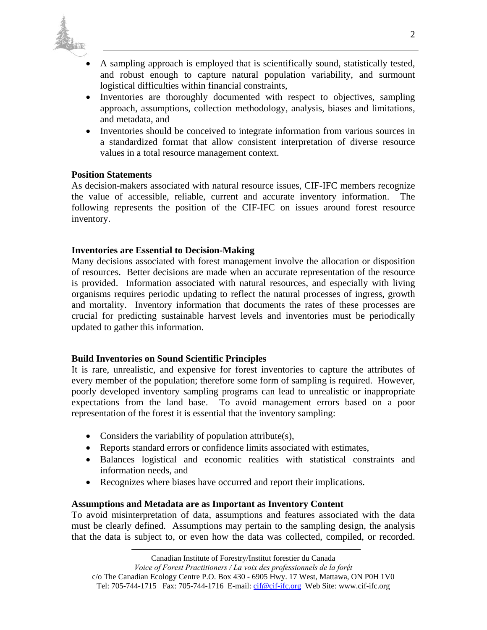

- A sampling approach is employed that is scientifically sound, statistically tested, and robust enough to capture natural population variability, and surmount logistical difficulties within financial constraints,
- Inventories are thoroughly documented with respect to objectives, sampling approach, assumptions, collection methodology, analysis, biases and limitations, and metadata, and
- Inventories should be conceived to integrate information from various sources in a standardized format that allow consistent interpretation of diverse resource values in a total resource management context.

#### **Position Statements**

As decision-makers associated with natural resource issues, CIF-IFC members recognize the value of accessible, reliable, current and accurate inventory information. The following represents the position of the CIF-IFC on issues around forest resource inventory.

#### **Inventories are Essential to Decision-Making**

Many decisions associated with forest management involve the allocation or disposition of resources. Better decisions are made when an accurate representation of the resource is provided. Information associated with natural resources, and especially with living organisms requires periodic updating to reflect the natural processes of ingress, growth and mortality. Inventory information that documents the rates of these processes are crucial for predicting sustainable harvest levels and inventories must be periodically updated to gather this information.

#### **Build Inventories on Sound Scientific Principles**

It is rare, unrealistic, and expensive for forest inventories to capture the attributes of every member of the population; therefore some form of sampling is required. However, poorly developed inventory sampling programs can lead to unrealistic or inappropriate expectations from the land base. To avoid management errors based on a poor representation of the forest it is essential that the inventory sampling:

- Considers the variability of population attribute(s),
- Reports standard errors or confidence limits associated with estimates,
- Balances logistical and economic realities with statistical constraints and information needs, and
- Recognizes where biases have occurred and report their implications.

#### **Assumptions and Metadata are as Important as Inventory Content**

To avoid misinterpretation of data, assumptions and features associated with the data must be clearly defined. Assumptions may pertain to the sampling design, the analysis that the data is subject to, or even how the data was collected, compiled, or recorded.

Tel: 705-744-1715 Fax: 705-744-1716 E-mail: cif@cif-ifc.org Web Site: www.cif-ifc.org

*Voice of Forest Practitioners / La voix des professionnels de la forệt*  c/o The Canadian Ecology Centre P.O. Box 430 - 6905 Hwy. 17 West, Mattawa, ON P0H 1V0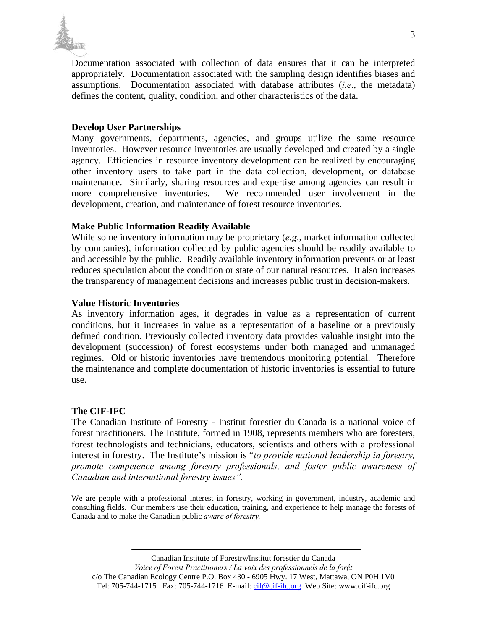

Documentation associated with collection of data ensures that it can be interpreted appropriately. Documentation associated with the sampling design identifies biases and assumptions. Documentation associated with database attributes (*i.e*., the metadata) defines the content, quality, condition, and other characteristics of the data.

# **Develop User Partnerships**

Many governments, departments, agencies, and groups utilize the same resource inventories. However resource inventories are usually developed and created by a single agency. Efficiencies in resource inventory development can be realized by encouraging other inventory users to take part in the data collection, development, or database maintenance. Similarly, sharing resources and expertise among agencies can result in more comprehensive inventories. We recommended user involvement in the development, creation, and maintenance of forest resource inventories.

# **Make Public Information Readily Available**

While some inventory information may be proprietary (*e.g*., market information collected by companies), information collected by public agencies should be readily available to and accessible by the public. Readily available inventory information prevents or at least reduces speculation about the condition or state of our natural resources. It also increases the transparency of management decisions and increases public trust in decision-makers.

# **Value Historic Inventories**

As inventory information ages, it degrades in value as a representation of current conditions, but it increases in value as a representation of a baseline or a previously defined condition. Previously collected inventory data provides valuable insight into the development (succession) of forest ecosystems under both managed and unmanaged regimes. Old or historic inventories have tremendous monitoring potential. Therefore the maintenance and complete documentation of historic inventories is essential to future use.

# **The CIF-IFC**

The Canadian Institute of Forestry - Institut forestier du Canada is a national voice of forest practitioners. The Institute, formed in 1908, represents members who are foresters, forest technologists and technicians, educators, scientists and others with a professional interest in forestry. The Institute's mission is "*to provide national leadership in forestry, promote competence among forestry professionals, and foster public awareness of Canadian and international forestry issues".* 

We are people with a professional interest in forestry, working in government, industry, academic and consulting fields. Our members use their education, training, and experience to help manage the forests of Canada and to make the Canadian public *aware of forestry.* 

Canadian Institute of Forestry/Institut forestier du Canada *Voice of Forest Practitioners / La voix des professionnels de la forệt*  c/o The Canadian Ecology Centre P.O. Box 430 - 6905 Hwy. 17 West, Mattawa, ON P0H 1V0